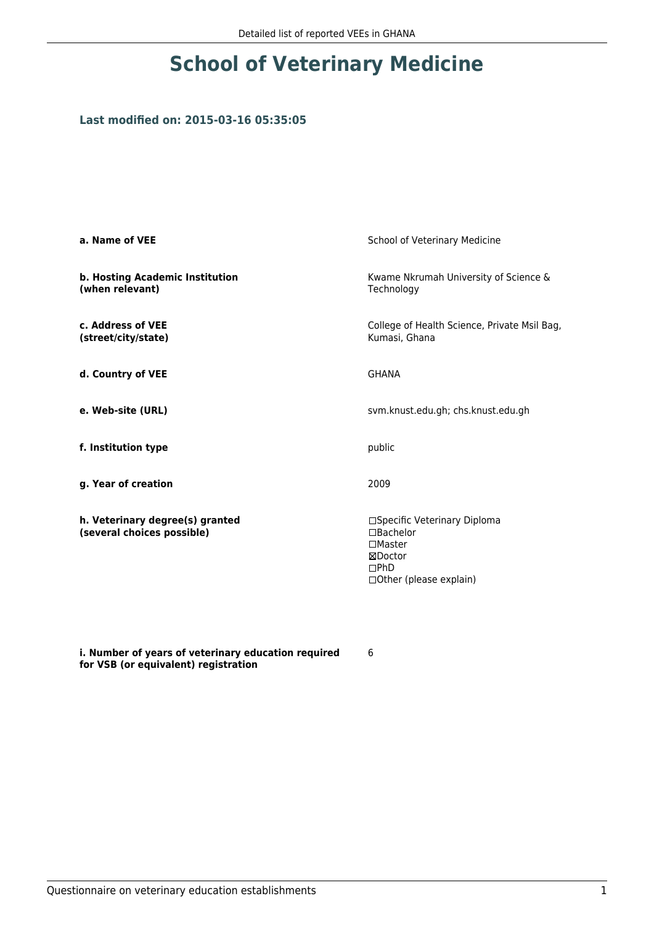# **School of Veterinary Medicine**

## **Last modified on: 2015-03-16 05:35:05**

| a. Name of VEE                                                | School of Veterinary Medicine                                                                                |  |
|---------------------------------------------------------------|--------------------------------------------------------------------------------------------------------------|--|
| b. Hosting Academic Institution<br>(when relevant)            | Kwame Nkrumah University of Science &<br>Technology                                                          |  |
| c. Address of VEE<br>(street/city/state)                      | College of Health Science, Private Msil Bag,<br>Kumasi, Ghana                                                |  |
| d. Country of VEE                                             | <b>GHANA</b>                                                                                                 |  |
| e. Web-site (URL)                                             | svm.knust.edu.gh; chs.knust.edu.gh                                                                           |  |
| f. Institution type                                           | public                                                                                                       |  |
| g. Year of creation                                           | 2009                                                                                                         |  |
| h. Veterinary degree(s) granted<br>(several choices possible) | □Specific Veterinary Diploma<br>□Bachelor<br>$\square$ Master<br>⊠Doctor<br>DPhD<br>□ Other (please explain) |  |

**i. Number of years of veterinary education required for VSB (or equivalent) registration**

6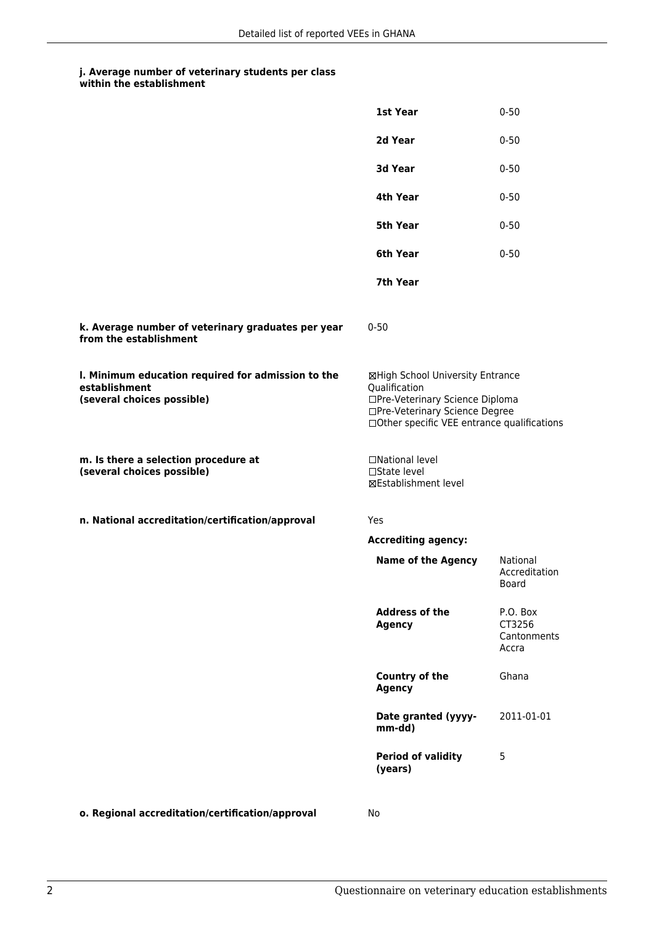#### **j. Average number of veterinary students per class within the establishment**

|                                                                                                   | 1st Year                                                                                                                                                              | $0 - 50$                                   |
|---------------------------------------------------------------------------------------------------|-----------------------------------------------------------------------------------------------------------------------------------------------------------------------|--------------------------------------------|
|                                                                                                   | 2d Year                                                                                                                                                               | $0 - 50$                                   |
|                                                                                                   | 3d Year                                                                                                                                                               | $0 - 50$                                   |
|                                                                                                   | 4th Year                                                                                                                                                              | $0 - 50$                                   |
|                                                                                                   | 5th Year                                                                                                                                                              | $0 - 50$                                   |
|                                                                                                   | 6th Year                                                                                                                                                              | $0 - 50$                                   |
|                                                                                                   | 7th Year                                                                                                                                                              |                                            |
| k. Average number of veterinary graduates per year<br>from the establishment                      | $0 - 50$                                                                                                                                                              |                                            |
| I. Minimum education required for admission to the<br>establishment<br>(several choices possible) | ⊠High School University Entrance<br>Qualification<br>□Pre-Veterinary Science Diploma<br>□Pre-Veterinary Science Degree<br>□Other specific VEE entrance qualifications |                                            |
| m. Is there a selection procedure at<br>(several choices possible)                                | □National level<br>$\Box$ State level<br>⊠Establishment level                                                                                                         |                                            |
| n. National accreditation/certification/approval                                                  | Yes                                                                                                                                                                   |                                            |
|                                                                                                   | <b>Accrediting agency:</b>                                                                                                                                            |                                            |
|                                                                                                   | <b>Name of the Agency</b>                                                                                                                                             | National<br>Accreditation<br>Board         |
|                                                                                                   | <b>Address of the</b><br><b>Agency</b>                                                                                                                                | P.O. Box<br>CT3256<br>Cantonments<br>Accra |
|                                                                                                   | <b>Country of the</b><br><b>Agency</b>                                                                                                                                | Ghana                                      |
|                                                                                                   | Date granted (yyyy-<br>mm-dd)                                                                                                                                         | 2011-01-01                                 |
|                                                                                                   | <b>Period of validity</b><br>(years)                                                                                                                                  | 5                                          |
|                                                                                                   |                                                                                                                                                                       |                                            |

**o. Regional accreditation/certification/approval** No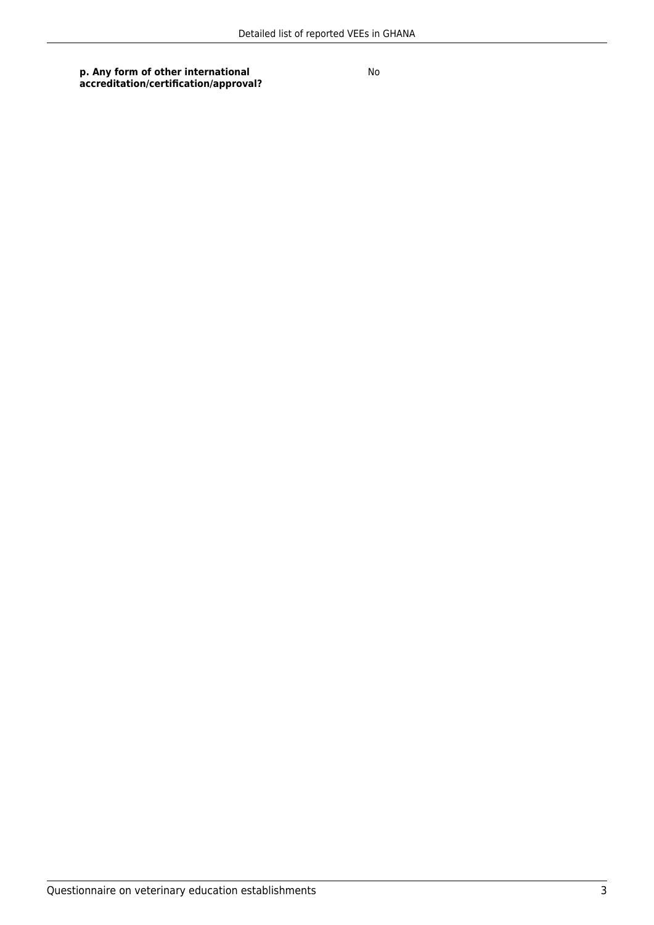### **p. Any form of other international accreditation/certification/approval?**

No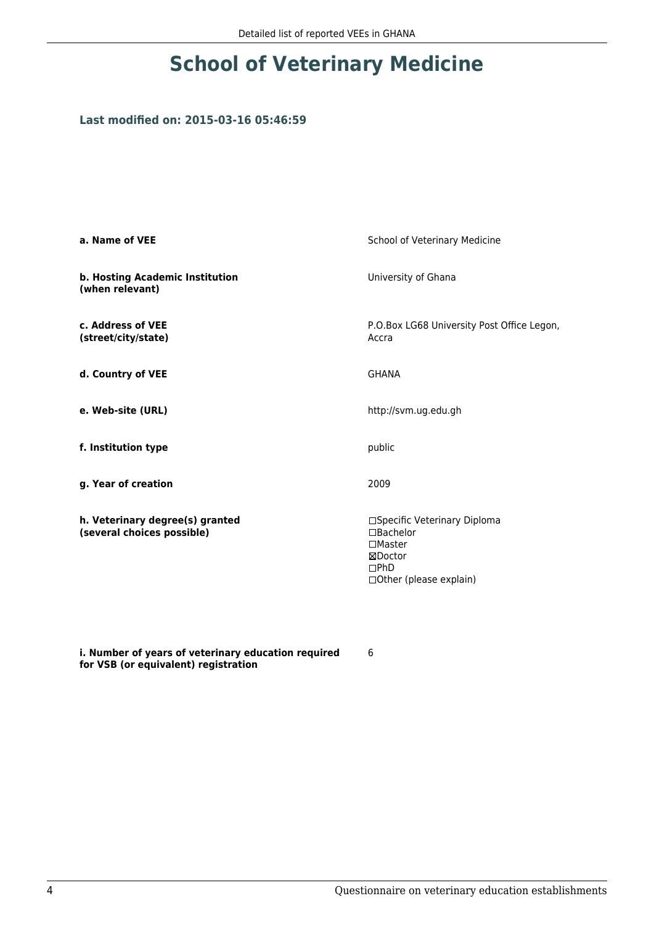# **School of Veterinary Medicine**

# **Last modified on: 2015-03-16 05:46:59**

| a. Name of VEE                                                | School of Veterinary Medicine                                                                                      |  |
|---------------------------------------------------------------|--------------------------------------------------------------------------------------------------------------------|--|
| b. Hosting Academic Institution<br>(when relevant)            | University of Ghana                                                                                                |  |
| c. Address of VEE<br>(street/city/state)                      | P.O.Box LG68 University Post Office Legon,<br>Accra                                                                |  |
| d. Country of VEE                                             | <b>GHANA</b>                                                                                                       |  |
| e. Web-site (URL)                                             | http://svm.ug.edu.gh                                                                                               |  |
| f. Institution type                                           | public                                                                                                             |  |
| g. Year of creation                                           | 2009                                                                                                               |  |
| h. Veterinary degree(s) granted<br>(several choices possible) | □Specific Veterinary Diploma<br>$\Box$ Bachelor<br>$\square$ Master<br>⊠Doctor<br>DPhD<br>□ Other (please explain) |  |

**i. Number of years of veterinary education required for VSB (or equivalent) registration**

6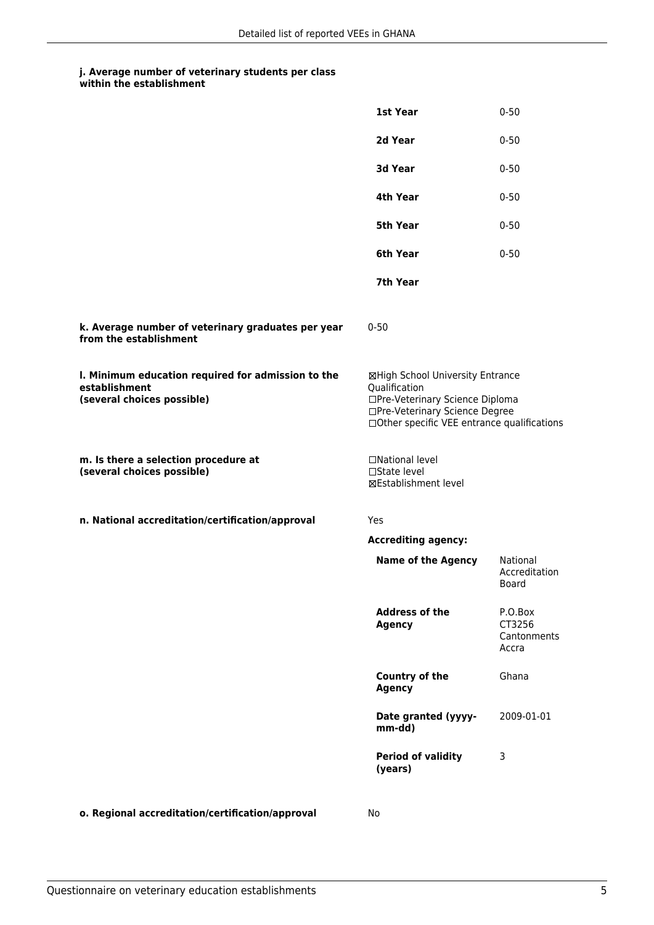#### **j. Average number of veterinary students per class within the establishment**

|                                                                                                   | 1st Year                                                                                                                                                              | $0 - 50$                                  |
|---------------------------------------------------------------------------------------------------|-----------------------------------------------------------------------------------------------------------------------------------------------------------------------|-------------------------------------------|
|                                                                                                   | 2d Year                                                                                                                                                               | $0 - 50$                                  |
|                                                                                                   | 3d Year                                                                                                                                                               | $0 - 50$                                  |
|                                                                                                   | 4th Year                                                                                                                                                              | $0 - 50$                                  |
|                                                                                                   | 5th Year                                                                                                                                                              | $0 - 50$                                  |
|                                                                                                   | 6th Year                                                                                                                                                              | $0 - 50$                                  |
|                                                                                                   | 7th Year                                                                                                                                                              |                                           |
| k. Average number of veterinary graduates per year<br>from the establishment                      | $0 - 50$                                                                                                                                                              |                                           |
| I. Minimum education required for admission to the<br>establishment<br>(several choices possible) | ⊠High School University Entrance<br>Qualification<br>□Pre-Veterinary Science Diploma<br>□Pre-Veterinary Science Degree<br>□Other specific VEE entrance qualifications |                                           |
| m. Is there a selection procedure at<br>(several choices possible)                                | □National level<br>$\Box$ State level<br>⊠Establishment level                                                                                                         |                                           |
| n. National accreditation/certification/approval                                                  | Yes                                                                                                                                                                   |                                           |
|                                                                                                   | <b>Accrediting agency:</b>                                                                                                                                            |                                           |
|                                                                                                   | <b>Name of the Agency</b>                                                                                                                                             | National<br>Accreditation<br>Board        |
|                                                                                                   | <b>Address of the</b><br><b>Agency</b>                                                                                                                                | P.O.Box<br>CT3256<br>Cantonments<br>Accra |
|                                                                                                   | <b>Country of the</b><br><b>Agency</b>                                                                                                                                | Ghana                                     |
|                                                                                                   | Date granted (yyyy-<br>mm-dd)                                                                                                                                         | 2009-01-01                                |
|                                                                                                   | <b>Period of validity</b><br>(years)                                                                                                                                  | 3                                         |
|                                                                                                   |                                                                                                                                                                       |                                           |

**o. Regional accreditation/certification/approval** No